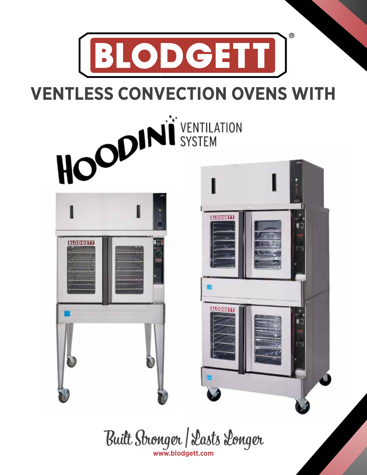



Built Stronger | Lasts Longer **www.blodgett.com**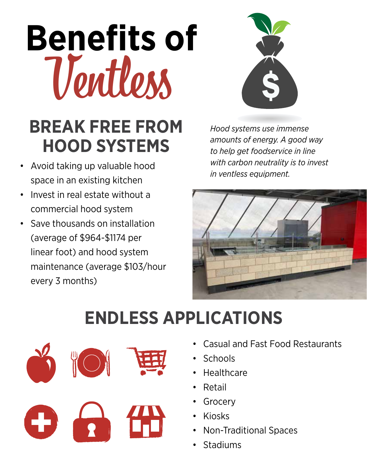# **Benefits of**  Ventless



### **BREAK FREE FROM HOOD SYSTEMS**

- Avoid taking up valuable hood space in an existing kitchen
- Invest in real estate without a commercial hood system
- Save thousands on installation (average of \$964-\$1174 per linear foot) and hood system maintenance (average \$103/hour every 3 months)

*Hood systems use immense amounts of energy. A good way to help get foodservice in line with carbon neutrality is to invest in ventless equipment.*



## **ENDLESS APPLICATIONS**



- Casual and Fast Food Restaurants
- Schools
- Healthcare
- **Retail**
- **Grocery**
- Kiosks
- Non-Traditional Spaces
- **Stadiums**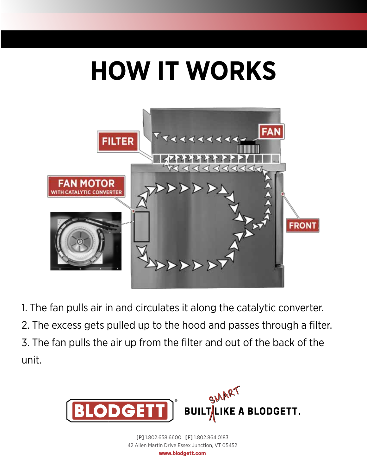# **HOW IT WORKS**



1. The fan pulls air in and circulates it along the catalytic converter. 2. The excess gets pulled up to the hood and passes through a filter. 3. The fan pulls the air up from the filter and out of the back of the unit.



**[P]** 1.802.658.6600 **[F]** 1.802.864.0183 42 Allen Martin Drive Essex Junction, VT 05452

©2017 Wells Manufacturing. All rights reserved. **www.blodgett.com**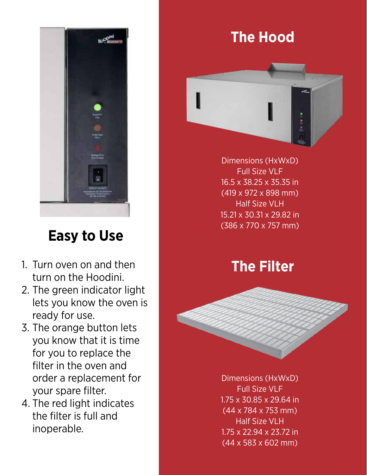

#### **Easy to Use**

- 1. Turn oven on and then turn on the Hoodini.
- 2. The green indicator light lets you know the oven is ready for use.
- 3. The orange button lets you know that it is time for you to replace the filter in the oven and order a replacement for your spare filter.
- 4. The red light indicates the filter is full and inoperable.

#### **The Hood**



Dimensions (HxWxD) Full Size VLF 16.5 x 38.25 x 35.35 in (419 x 972 x 898 mm) Half Size VLH 15.21 x 30.31 x 29.82 in (386 x 770 x 757 mm)

#### **The Filter**



Dimensions (HxWxD) Full Size VLF 1.75 x 30.85 x 29.64 in (44 x 784 x 753 mm) Half Size VLH 1.75 x 22.94 x 23.72 in (44 x 583 x 602 mm)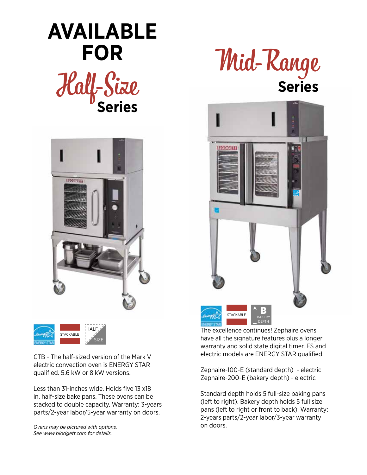# Half-Size **Series AVAILABLE FOR**





CTB - The half-sized version of the Mark V electric convection oven is ENERGY STAR qualified. 5.6 kW or 8 kW versions.

Less than 31-inches wide. Holds five 13 x18 in. half-size bake pans. These ovens can be stacked to double capacity. Warranty: 3-years parts/2-year labor/5-year warranty on doors.

*Ovens may be pictured with options. See www.blodgett.com for details.*





The excellence continues! Zephaire ovens have all the signature features plus a longer warranty and solid state digital timer. ES and electric models are ENERGY STAR qualified.

Zephaire-100-E (standard depth) - electric Zephaire-200-E (bakery depth) - electric

Standard depth holds 5 full-size baking pans (left to right). Bakery depth holds 5 full size pans (left to right or front to back). Warranty: 2-years parts/2-year labor/3-year warranty on doors.